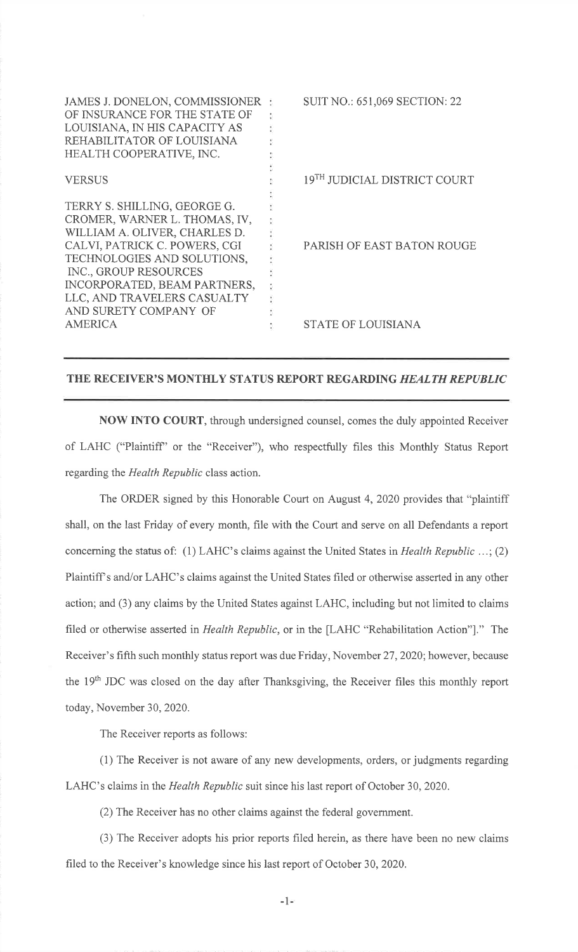| JAMES J. DONELON, COMMISSIONER<br>OF INSURANCE FOR THE STATE OF<br>LOUISIANA, IN HIS CAPACITY AS<br>REHABILITATOR OF LOUISIANA<br>HEALTH COOPERATIVE, INC.                                                                                                                      | <b>SUIT NO.: 651,069 SECTION: 22</b> |
|---------------------------------------------------------------------------------------------------------------------------------------------------------------------------------------------------------------------------------------------------------------------------------|--------------------------------------|
| <b>VERSUS</b>                                                                                                                                                                                                                                                                   | 19TH JUDICIAL DISTRICT COURT         |
| TERRY S. SHILLING, GEORGE G.<br>CROMER, WARNER L. THOMAS, IV,<br>WILLIAM A. OLIVER, CHARLES D.<br>CALVI, PATRICK C. POWERS, CGI<br>TECHNOLOGIES AND SOLUTIONS,<br>INC., GROUP RESOURCES<br>INCORPORATED, BEAM PARTNERS,<br>LLC, AND TRAVELERS CASUALTY<br>AND SURETY COMPANY OF | PARISH OF EAST BATON ROUGE           |
| AMERICA                                                                                                                                                                                                                                                                         | <b>STATE OF LOUISIANA</b>            |

## THE RECEIVER'S MONTHLY STATUS REPORT REGARDING HEALTH REPUBLIC

NOW INTO COURT, through undersigned counsel, comes the duly appointed Receiverof LAHC ("Plaintiff' or the "Receiver"), who respectfully files this Monthly Status Reportregarding the Health Republic class action.

The ORDER signed by this Honorable Court on August 4,2020 provides that "plaintiffshall, on the last Friday of every month, file with the Court and serve on all Defendants a reportconcerning the status of: (1) LAHC's claims against the United States in *Health Republic* ...; (2) Plaintiff's and/or LAHC's claims against the United States filed or otherwise asserted in any other action; and (3) any claims by the United States against LAHC, including but not limited to claimsfiled or otherwise asserted in *Health Republic*, or in the [LAHC "Rehabilitation Action"]." The Receiver's fifth such monthly status report was due Friday, November <sup>27</sup>,2020; however, becausethe 19th JDC was closed on the day after Thanksgiving, the Receiver files this monthly report today, November 30, 2020.

The Receiver reports as follows:

(l) The Receiver is not aware of any new developments, orders, or judgments regardingLAHC's claims in the *Health Republic* suit since his last report of October 30, 2020.

(2) The Receiver has no other claims against the federal govemment.

(3) The Receiver adopts his prior reports filed herein, as there have been no new claimsfiled to the Receiver's knowledge since his last report of October 30,2020.